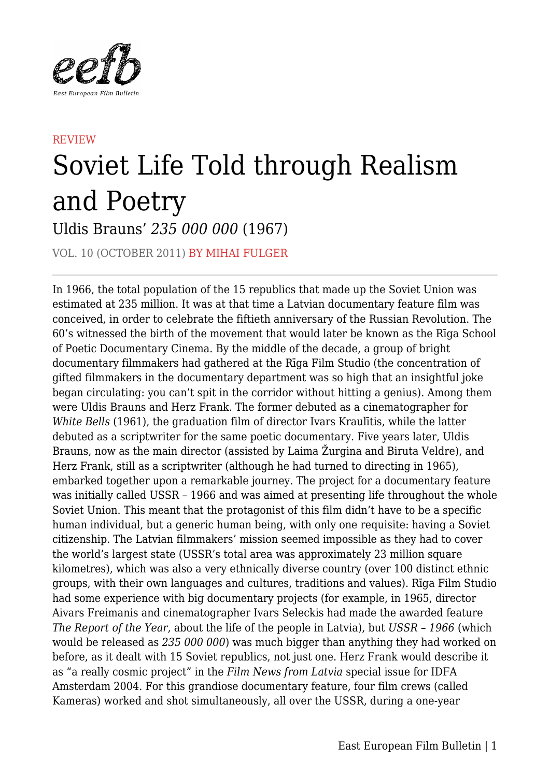

## **REVIEW** Soviet Life Told through Realism and Poetry Uldis Brauns' *235 000 000* (1967)

VOL. 10 (OCTOBER 2011) BY MIHAI FULGER

In 1966, the total population of the 15 republics that made up the Soviet Union was estimated at 235 million. It was at that time a Latvian documentary feature film was conceived, in order to celebrate the fiftieth anniversary of the Russian Revolution. The 60's witnessed the birth of the movement that would later be known as the Rīga School of Poetic Documentary Cinema. By the middle of the decade, a group of bright documentary filmmakers had gathered at the Rīga Film Studio (the concentration of gifted filmmakers in the documentary department was so high that an insightful joke began circulating: you can't spit in the corridor without hitting a genius). Among them were Uldis Brauns and Herz Frank. The former debuted as a cinematographer for *White Bells* (1961), the graduation film of director Ivars Kraulītis, while the latter debuted as a scriptwriter for the same poetic documentary. Five years later, Uldis Brauns, now as the main director (assisted by Laima Žurgina and Biruta Veldre), and Herz Frank, still as a scriptwriter (although he had turned to directing in 1965), embarked together upon a remarkable journey. The project for a documentary feature was initially called USSR – 1966 and was aimed at presenting life throughout the whole Soviet Union. This meant that the protagonist of this film didn't have to be a specific human individual, but a generic human being, with only one requisite: having a Soviet citizenship. The Latvian filmmakers' mission seemed impossible as they had to cover the world's largest state (USSR's total area was approximately 23 million square kilometres), which was also a very ethnically diverse country (over 100 distinct ethnic groups, with their own languages and cultures, traditions and values). Rīga Film Studio had some experience with big documentary projects (for example, in 1965, director Aivars Freimanis and cinematographer Ivars Seleckis had made the awarded feature *The Report of the Year*, about the life of the people in Latvia), but *USSR – 1966* (which would be released as *235 000 000*) was much bigger than anything they had worked on before, as it dealt with 15 Soviet republics, not just one. Herz Frank would describe it as "a really cosmic project" in the *Film News from Latvia* special issue for IDFA Amsterdam 2004. For this grandiose documentary feature, four film crews (called Kameras) worked and shot simultaneously, all over the USSR, during a one-year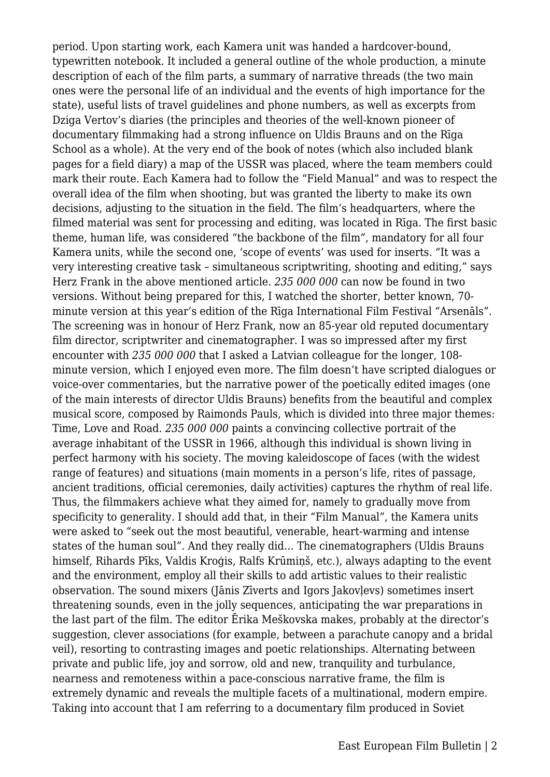period. Upon starting work, each Kamera unit was handed a hardcover-bound, typewritten notebook. It included a general outline of the whole production, a minute description of each of the film parts, a summary of narrative threads (the two main ones were the personal life of an individual and the events of high importance for the state), useful lists of travel guidelines and phone numbers, as well as excerpts from Dziga Vertov's diaries (the principles and theories of the well-known pioneer of documentary filmmaking had a strong influence on Uldis Brauns and on the Rīga School as a whole). At the very end of the book of notes (which also included blank pages for a field diary) a map of the USSR was placed, where the team members could mark their route. Each Kamera had to follow the "Field Manual" and was to respect the overall idea of the film when shooting, but was granted the liberty to make its own decisions, adjusting to the situation in the field. The film's headquarters, where the filmed material was sent for processing and editing, was located in Rīga. The first basic theme, human life, was considered "the backbone of the film", mandatory for all four Kamera units, while the second one, 'scope of events' was used for inserts. "It was a very interesting creative task – simultaneous scriptwriting, shooting and editing," says Herz Frank in the above mentioned article. *235 000 000* can now be found in two versions. Without being prepared for this, I watched the shorter, better known, 70 minute version at this year's edition of the Rīga International Film Festival "Arsenāls". The screening was in honour of Herz Frank, now an 85-year old reputed documentary film director, scriptwriter and cinematographer. I was so impressed after my first encounter with *235 000 000* that I asked a Latvian colleague for the longer, 108 minute version, which I enjoyed even more. The film doesn't have scripted dialogues or voice-over commentaries, but the narrative power of the poetically edited images (one of the main interests of director Uldis Brauns) benefits from the beautiful and complex musical score, composed by Raimonds Pauls, which is divided into three major themes: Time, Love and Road. *235 000 000* paints a convincing collective portrait of the average inhabitant of the USSR in 1966, although this individual is shown living in perfect harmony with his society. The moving kaleidoscope of faces (with the widest range of features) and situations (main moments in a person's life, rites of passage, ancient traditions, official ceremonies, daily activities) captures the rhythm of real life. Thus, the filmmakers achieve what they aimed for, namely to gradually move from specificity to generality. I should add that, in their "Film Manual", the Kamera units were asked to "seek out the most beautiful, venerable, heart-warming and intense states of the human soul". And they really did… The cinematographers (Uldis Brauns himself, Rihards Pīks, Valdis Kroģis, Ralfs Krūmiņš, etc.), always adapting to the event and the environment, employ all their skills to add artistic values to their realistic observation. The sound mixers (Jānis Zīverts and Igors Jakovļevs) sometimes insert threatening sounds, even in the jolly sequences, anticipating the war preparations in the last part of the film. The editor Ērika Meškovska makes, probably at the director's suggestion, clever associations (for example, between a parachute canopy and a bridal veil), resorting to contrasting images and poetic relationships. Alternating between private and public life, joy and sorrow, old and new, tranquility and turbulance, nearness and remoteness within a pace-conscious narrative frame, the film is extremely dynamic and reveals the multiple facets of a multinational, modern empire. Taking into account that I am referring to a documentary film produced in Soviet